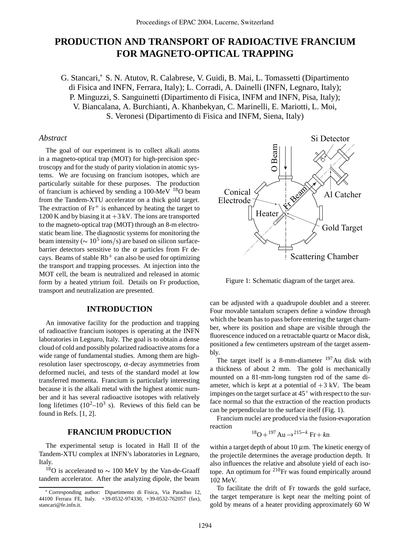# **PRODUCTION AND TRANSPORT OF RADIOACTIVE FRANCIUM FOR MAGNETO-OPTICAL TRAPPING**

G. Stancari, S. N. Atutov, R. Calabrese, V. Guidi, B. Mai, L. Tomassetti (Dipartimento di Fisica and INFN, Ferrara, Italy); L. Corradi, A. Dainelli (INFN, Legnaro, Italy); P. Minguzzi, S. Sanguinetti (Dipartimento di Fisica, INFM and INFN, Pisa, Italy); V. Biancalana, A. Burchianti, A. Khanbekyan, C. Marinelli, E. Mariotti, L. Moi, S. Veronesi (Dipartimento di Fisica and INFM, Siena, Italy)

## *Abstract*

The goal of our experiment is to collect alkali atoms in a magneto-optical trap (MOT) for high-precision spectroscopy and for the study of parity violation in atomic systems. We are focusing on francium isotopes, which are particularly suitable for these purposes. The production of francium is achieved by sending a 100-MeV 18O beam from the Tandem-XTU accelerator on a thick gold target. The extraction of Fr is enhanced by heating the target to 1200 K and by biasing it at  $+3$  kV. The ions are transported to the magneto-optical trap (MOT) through an 8-m electrostatic beam line. The diagnostic systems for monitoring the beam intensity ( $\sim 10^5$  ions/s) are based on silicon surfacebarrier detectors sensitive to the  $\alpha$  particles from Fr decays. Beams of stable  $\rm Rb^+$  can also be used for optimizing the transport and trapping processes. At injection into the MOT cell, the beam is neutralized and released in atomic form by a heated yttrium foil. Details on Fr production, transport and neutralization are presented.

#### **INTRODUCTION**

An innovative facility for the production and trapping of radioactive francium isotopes is operating at the INFN laboratories in Legnaro, Italy. The goal is to obtain a dense cloud of cold and possibly polarized radioactive atoms for a wide range of fundamental studies. Among them are highresolution laser spectroscopy,  $\alpha$ -decay asymmetries from deformed nuclei, and tests of the standard model at low transferred momenta. Francium is particularly interesting because it is the alkali metal with the highest atomic number and it has several radioactive isotopes with relatively long lifetimes  $(10^2-10^3$  s). Reviews of this field can be found in Refs. [1, 2].

# **FRANCIUM PRODUCTION**

The experimental setup is located in Hall II of the Tandem-XTU complex at INFN's laboratories in Legnaro, Italy.

<sup>18</sup>O is accelerated to  $\sim$  100 MeV by the Van-de-Graaff tandem accelerator. After the analyzing dipole, the beam



Figure 1: Schematic diagram of the target area.

can be adjusted with a quadrupole doublet and a steerer. Four movable tantalum scrapers define a window through which the beam has to pass before entering the target chamber, where its position and shape are visible through the fluorescence induced on a retractable quartz or Macor disk, positioned a few centimeters upstream of the target assembly.

The target itself is a 8-mm-diameter  $197$  Au disk with a thickness of about 2 mm. The gold is mechanically mounted on a 81-mm-long tungsten rod of the same diameter, which is kept at a potential of  $+3$  kV. The beam impinges on the target surface at  $45^{\circ}$  with respect to the surface normal so that the extraction of the reaction products can be perpendicular to the surface itself (Fig. 1).

Francium nuclei are produced via the fusion-evaporation reaction

$$
{}^{18}O + {}^{197}Au \rightarrow {}^{215-k}Fr + kn
$$

within a target depth of about 10  $\mu$ m. The kinetic energy of the projectile determines the average production depth. It also influences the relative and absolute yield of each isotope. An optimum for  $2^{10}$ Fr was found empirically around 102 MeV.

To facilitate the drift of Fr towards the gold surface, the target temperature is kept near the melting point of gold by means of a heater providing approximately 60 W

Corresponding author: Dipartimento di Fisica, Via Paradiso 12, 44100 Ferrara FE, Italy. +39-0532-974330, +39-0532-762057 (fax), stancari@fe.infn.it.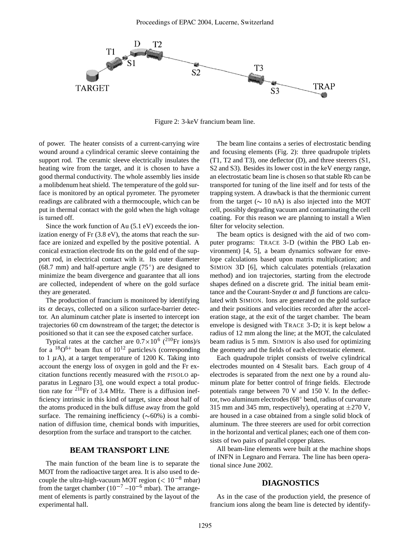

Figure 2: 3-keV francium beam line.

of power. The heater consists of a current-carrying wire wound around a cylindrical ceramic sleeve containing the support rod. The ceramic sleeve electrically insulates the heating wire from the target, and it is chosen to have a good thermal conductivity. The whole assembly lies inside a molibdenum heat shield. The temperature of the gold surface is monitored by an optical pyrometer. The pyrometer readings are calibrated with a thermocouple, which can be put in thermal contact with the gold when the high voltage is turned off.

Since the work function of Au (5.1 eV) exceeds the ionization energy of Fr (3.8 eV), the atoms that reach the surface are ionized and expelled by the positive potential. A conical extraction electrode fits on the gold end of the support rod, in electrical contact with it. Its outer diameter  $(68.7 \text{ mm})$  and half-aperture angle  $(75^{\circ})$  are designed to minimize the beam divergence and guarantee that all ions are collected, independent of where on the gold surface they are generated.

The production of francium is monitored by identifying its  $\alpha$  decays, collected on a silicon surface-barrier detector. An aluminum catcher plate is inserted to intercept ion trajectories 60 cm downstream of the target; the detector is positioned so that it can see the exposed catcher surface.

Typical rates at the catcher are  $0.7 \times 10^6$  (<sup>210</sup>Fr ions)/s for a  $^{18}O^{6+}$  beam flux of  $10^{12}$  particles/s (corresponding to 1  $\mu$ A), at a target temperature of 1200 K. Taking into account the energy loss of oxygen in gold and the Fr excitation functions recently measured with the PISOLO apparatus in Legnaro [3], one would expect a total production rate for  $2^{10}$ Fr of 3.4 MHz. There is a diffusion inefficiency intrinsic in this kind of target, since about half of the atoms produced in the bulk diffuse away from the gold surface. The remaining inefficiency  $(\sim 60\%)$  is a combination of diffusion time, chemical bonds with impurities, desorption from the surface and transport to the catcher.

# **BEAM TRANSPORT LINE**

The main function of the beam line is to separate the MOT from the radioactive target area. It is also used to decouple the ultra-high-vacuum MOT region ( $< 10^{-8}$  mbar) from the target chamber  $(10^{-7} - 10^{-6}$  mbar). The arrangement of elements is partly constrained by the layout of the experimental hall.

The beam line contains a series of electrostatic bending and focusing elements (Fig. 2): three quadrupole triplets (T1, T2 and T3), one deflector (D), and three steerers (S1, S2 and S3). Besides its lower cost in the keV energy range, an electrostatic beam line is chosen so that stable Rb can be transported for tuning of the line itself and for tests of the trapping system. A drawback is that the thermionic current from the target ( $\sim 10$  nA) is also injected into the MOT cell, possibly degrading vacuum and contaminating the cell coating. For this reason we are planning to install a Wien filter for velocity selection.

The beam optics is designed with the aid of two computer programs: TRACE 3-D (within the PBO Lab environment) [4, 5], a beam dynamics software for envelope calculations based upon matrix multiplication; and SIMION 3D [6], which calculates potentials (relaxation method) and ion trajectories, starting from the electrode shapes defined on a discrete grid. The initial beam emittance and the Courant-Snyder  $\alpha$  and  $\beta$  functions are calculated with SIMION. Ions are generated on the gold surface and their positions and velocities recorded after the acceleration stage, at the exit of the target chamber. The beam envelope is designed with TRACE 3-D; it is kept below a radius of 12 mm along the line; at the MOT, the calculated beam radius is 5 mm. SIMION is also used for optimizing the geometry and the fields of each electrostatic element.

Each quadrupole triplet consists of twelve cylindrical electrodes mounted on 4 Stesalit bars. Each group of 4 electrodes is separated from the next one by a round aluminum plate for better control of fringe fields. Electrode potentials range between 70 V and 150 V. In the deflector, two aluminum electrodes (68 $^{\circ}$  bend, radius of curvature 315 mm and 345 mm, respectively), operating at  $\pm$ 270 V, are housed in a case obtained from a single solid block of aluminum. The three steerers are used for orbit correction in the horizontal and vertical planes; each one of them consists of two pairs of parallel copper plates.

All beam-line elements were built at the machine shops of INFN in Legnaro and Ferrara. The line has been operational since June 2002.

## **DIAGNOSTICS**

As in the case of the production yield, the presence of francium ions along the beam line is detected by identify